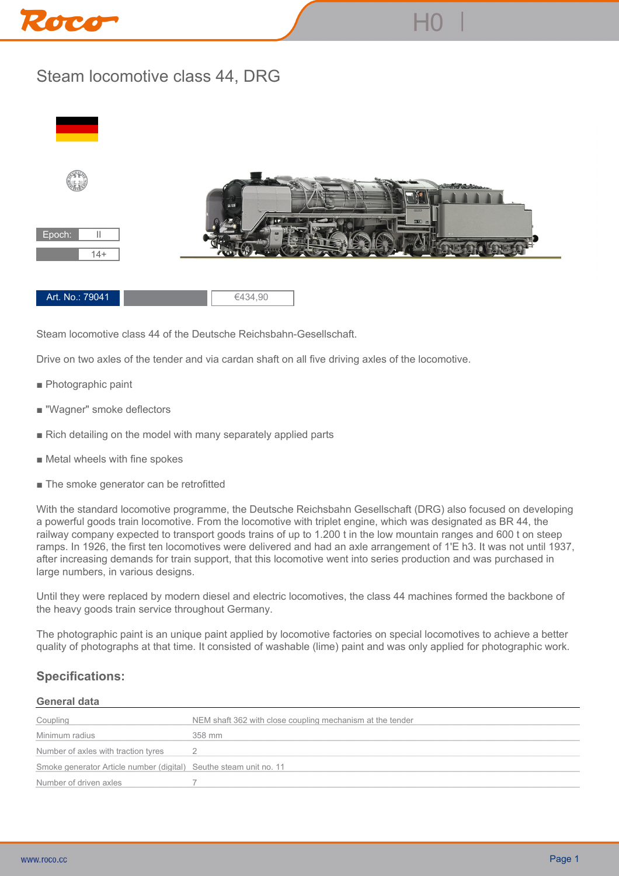

## **Steam locomotive class 44, DRG**



**Steam locomotive class 44 of the Deutsche Reichsbahn-Gesellschaft.**

**Drive on two axles of the tender and via cardan shaft on all five driving axles of the locomotive.**

- **Photographic paint**
- **"Wagner" smoke deflectors**
- **Rich detailing on the model with many separately applied parts**
- **Metal wheels with fine spokes**
- **The smoke generator can be retrofitted**

**With the standard locomotive programme, the Deutsche Reichsbahn Gesellschaft (DRG) also focused on developing a powerful goods train locomotive. From the locomotive with triplet engine, which was designated as BR 44, the railway company expected to transport goods trains of up to 1.200 t in the low mountain ranges and 600 t on steep ramps. In 1926, the first ten locomotives were delivered and had an axle arrangement of 1'E h3. It was not until 1937, after increasing demands for train support, that this locomotive went into series production and was purchased in large numbers, in various designs.**

**Until they were replaced by modern diesel and electric locomotives, the class 44 machines formed the backbone of the heavy goods train service throughout Germany.**

**The photographic paint is an unique paint applied by locomotive factories on special locomotives to achieve a better quality of photographs at that time. It consisted of washable (lime) paint and was only applied for photographic work.**

## **Specifications:**

## **General data**

| Coupling                                                          | NEM shaft 362 with close coupling mechanism at the tender |
|-------------------------------------------------------------------|-----------------------------------------------------------|
| Minimum radius                                                    | 358 mm                                                    |
| Number of axles with traction tyres                               |                                                           |
| Smoke generator Article number (digital) Seuthe steam unit no. 11 |                                                           |
| Number of driven axles                                            |                                                           |
|                                                                   |                                                           |